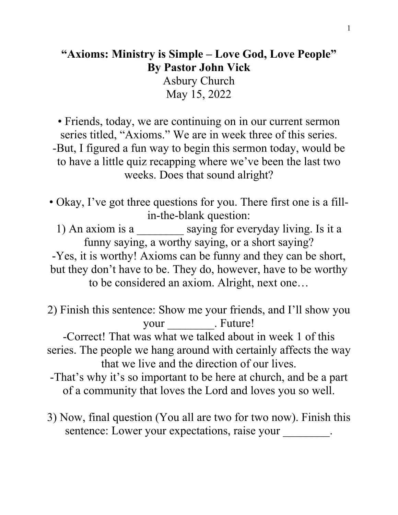## **"Axioms: Ministry is Simple – Love God, Love People" By Pastor John Vick**

Asbury Church May 15, 2022

• Friends, today, we are continuing on in our current sermon series titled, "Axioms." We are in week three of this series. -But, I figured a fun way to begin this sermon today, would be to have a little quiz recapping where we've been the last two weeks. Does that sound alright?

• Okay, I've got three questions for you. There first one is a fillin-the-blank question:

1) An axiom is a \_\_\_\_\_\_\_\_ saying for everyday living. Is it a funny saying, a worthy saying, or a short saying? -Yes, it is worthy! Axioms can be funny and they can be short, but they don't have to be. They do, however, have to be worthy to be considered an axiom. Alright, next one…

2) Finish this sentence: Show me your friends, and I'll show you your Future!

-Correct! That was what we talked about in week 1 of this series. The people we hang around with certainly affects the way that we live and the direction of our lives.

- -That's why it's so important to be here at church, and be a part of a community that loves the Lord and loves you so well.
- 3) Now, final question (You all are two for two now). Finish this sentence: Lower your expectations, raise your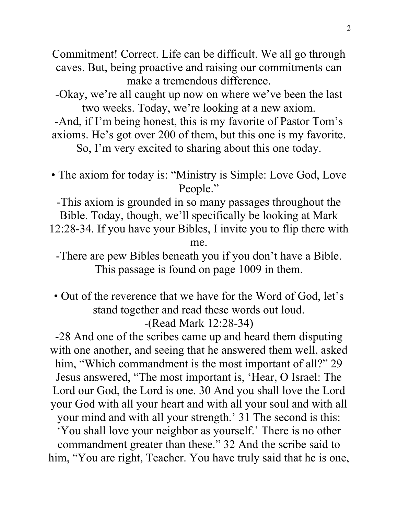Commitment! Correct. Life can be difficult. We all go through caves. But, being proactive and raising our commitments can make a tremendous difference.

-Okay, we're all caught up now on where we've been the last two weeks. Today, we're looking at a new axiom.

-And, if I'm being honest, this is my favorite of Pastor Tom's axioms. He's got over 200 of them, but this one is my favorite.

So, I'm very excited to sharing about this one today.

• The axiom for today is: "Ministry is Simple: Love God, Love People."

-This axiom is grounded in so many passages throughout the Bible. Today, though, we'll specifically be looking at Mark 12:28-34. If you have your Bibles, I invite you to flip there with me.

-There are pew Bibles beneath you if you don't have a Bible. This passage is found on page 1009 in them.

• Out of the reverence that we have for the Word of God, let's stand together and read these words out loud. -(Read Mark 12:28-34)

-28 And one of the scribes came up and heard them disputing with one another, and seeing that he answered them well, asked him, "Which commandment is the most important of all?" 29 Jesus answered, "The most important is, 'Hear, O Israel: The Lord our God, the Lord is one. 30 And you shall love the Lord your God with all your heart and with all your soul and with all your mind and with all your strength.' 31 The second is this: 'You shall love your neighbor as yourself.' There is no other commandment greater than these." 32 And the scribe said to him, "You are right, Teacher. You have truly said that he is one,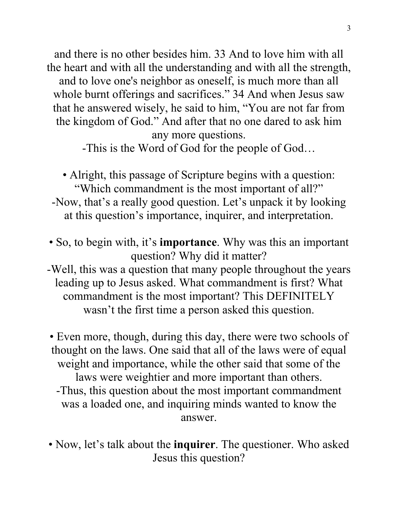and there is no other besides him. 33 And to love him with all the heart and with all the understanding and with all the strength, and to love one's neighbor as oneself, is much more than all whole burnt offerings and sacrifices." 34 And when Jesus saw that he answered wisely, he said to him, "You are not far from the kingdom of God." And after that no one dared to ask him any more questions.

-This is the Word of God for the people of God…

• Alright, this passage of Scripture begins with a question: "Which commandment is the most important of all?" -Now, that's a really good question. Let's unpack it by looking at this question's importance, inquirer, and interpretation.

- So, to begin with, it's **importance**. Why was this an important question? Why did it matter?
- -Well, this was a question that many people throughout the years leading up to Jesus asked. What commandment is first? What commandment is the most important? This DEFINITELY wasn't the first time a person asked this question.

• Even more, though, during this day, there were two schools of thought on the laws. One said that all of the laws were of equal weight and importance, while the other said that some of the laws were weightier and more important than others. -Thus, this question about the most important commandment was a loaded one, and inquiring minds wanted to know the answer.

• Now, let's talk about the **inquirer**. The questioner. Who asked Jesus this question?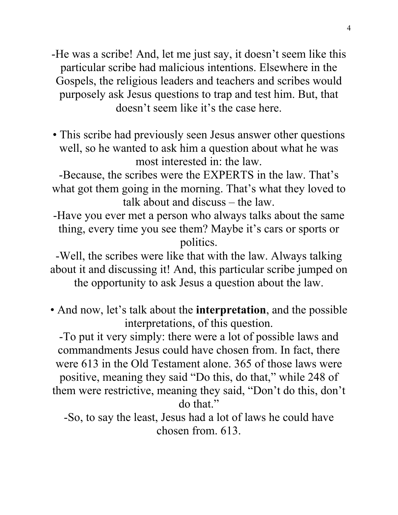- -He was a scribe! And, let me just say, it doesn't seem like this particular scribe had malicious intentions. Elsewhere in the Gospels, the religious leaders and teachers and scribes would purposely ask Jesus questions to trap and test him. But, that doesn't seem like it's the case here.
- This scribe had previously seen Jesus answer other questions well, so he wanted to ask him a question about what he was most interested in: the law.

-Because, the scribes were the EXPERTS in the law. That's what got them going in the morning. That's what they loved to talk about and discuss – the law.

-Have you ever met a person who always talks about the same thing, every time you see them? Maybe it's cars or sports or politics.

-Well, the scribes were like that with the law. Always talking about it and discussing it! And, this particular scribe jumped on the opportunity to ask Jesus a question about the law.

• And now, let's talk about the **interpretation**, and the possible interpretations, of this question.

-To put it very simply: there were a lot of possible laws and commandments Jesus could have chosen from. In fact, there were 613 in the Old Testament alone. 365 of those laws were positive, meaning they said "Do this, do that," while 248 of them were restrictive, meaning they said, "Don't do this, don't do that."

-So, to say the least, Jesus had a lot of laws he could have chosen from. 613.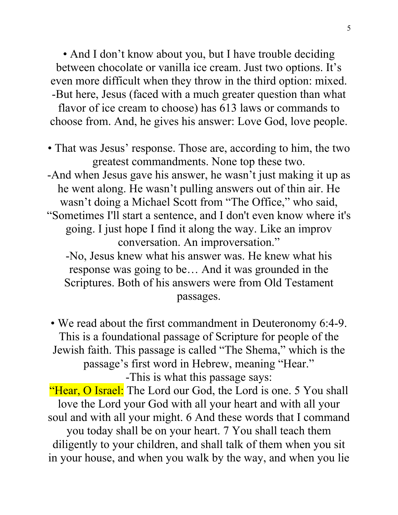• And I don't know about you, but I have trouble deciding between chocolate or vanilla ice cream. Just two options. It's even more difficult when they throw in the third option: mixed. -But here, Jesus (faced with a much greater question than what flavor of ice cream to choose) has 613 laws or commands to choose from. And, he gives his answer: Love God, love people.

• That was Jesus' response. Those are, according to him, the two greatest commandments. None top these two. -And when Jesus gave his answer, he wasn't just making it up as he went along. He wasn't pulling answers out of thin air. He wasn't doing a Michael Scott from "The Office," who said, "Sometimes I'll start a sentence, and I don't even know where it's going. I just hope I find it along the way. Like an improv conversation. An improversation." -No, Jesus knew what his answer was. He knew what his response was going to be… And it was grounded in the Scriptures. Both of his answers were from Old Testament passages.

• We read about the first commandment in Deuteronomy 6:4-9. This is a foundational passage of Scripture for people of the Jewish faith. This passage is called "The Shema," which is the passage's first word in Hebrew, meaning "Hear." -This is what this passage says:

"Hear, O Israel: The Lord our God, the Lord is one. 5 You shall love the Lord your God with all your heart and with all your soul and with all your might. 6 And these words that I command you today shall be on your heart. 7 You shall teach them diligently to your children, and shall talk of them when you sit in your house, and when you walk by the way, and when you lie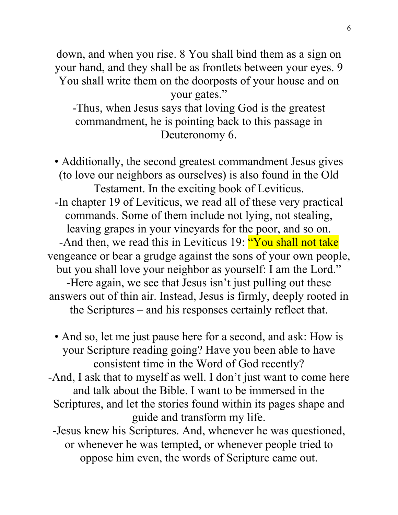down, and when you rise. 8 You shall bind them as a sign on your hand, and they shall be as frontlets between your eyes. 9 You shall write them on the doorposts of your house and on your gates." -Thus, when Jesus says that loving God is the greatest commandment, he is pointing back to this passage in

Deuteronomy 6.

• Additionally, the second greatest commandment Jesus gives (to love our neighbors as ourselves) is also found in the Old Testament. In the exciting book of Leviticus. -In chapter 19 of Leviticus, we read all of these very practical commands. Some of them include not lying, not stealing, leaving grapes in your vineyards for the poor, and so on. -And then, we read this in Leviticus 19: "You shall not take vengeance or bear a grudge against the sons of your own people, but you shall love your neighbor as yourself: I am the Lord." -Here again, we see that Jesus isn't just pulling out these answers out of thin air. Instead, Jesus is firmly, deeply rooted in the Scriptures – and his responses certainly reflect that.

• And so, let me just pause here for a second, and ask: How is your Scripture reading going? Have you been able to have consistent time in the Word of God recently?

-And, I ask that to myself as well. I don't just want to come here and talk about the Bible. I want to be immersed in the Scriptures, and let the stories found within its pages shape and guide and transform my life.

-Jesus knew his Scriptures. And, whenever he was questioned, or whenever he was tempted, or whenever people tried to oppose him even, the words of Scripture came out.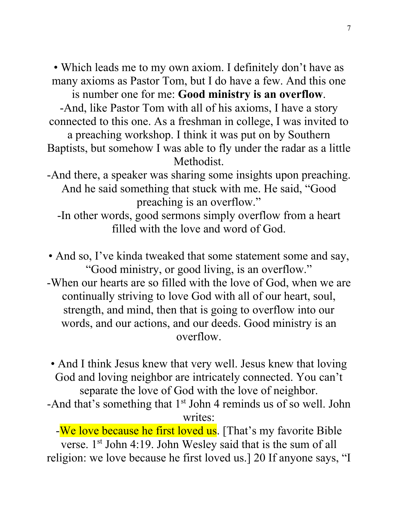• Which leads me to my own axiom. I definitely don't have as many axioms as Pastor Tom, but I do have a few. And this one is number one for me: **Good ministry is an overflow**.

-And, like Pastor Tom with all of his axioms, I have a story connected to this one. As a freshman in college, I was invited to

a preaching workshop. I think it was put on by Southern Baptists, but somehow I was able to fly under the radar as a little Methodist.

-And there, a speaker was sharing some insights upon preaching. And he said something that stuck with me. He said, "Good preaching is an overflow."

-In other words, good sermons simply overflow from a heart filled with the love and word of God.

• And so, I've kinda tweaked that some statement some and say, "Good ministry, or good living, is an overflow." -When our hearts are so filled with the love of God, when we are continually striving to love God with all of our heart, soul, strength, and mind, then that is going to overflow into our words, and our actions, and our deeds. Good ministry is an overflow.

• And I think Jesus knew that very well. Jesus knew that loving God and loving neighbor are intricately connected. You can't separate the love of God with the love of neighbor.

-And that's something that 1<sup>st</sup> John 4 reminds us of so well. John writes:

-We love because he first loved us. [That's my favorite Bible verse. 1st John 4:19. John Wesley said that is the sum of all religion: we love because he first loved us.] 20 If anyone says, "I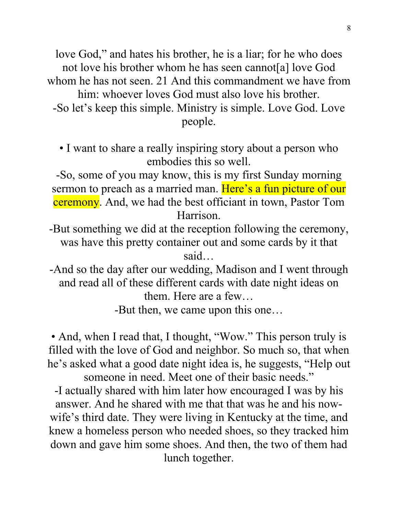love God," and hates his brother, he is a liar; for he who does not love his brother whom he has seen cannot[a] love God whom he has not seen. 21 And this commandment we have from him: whoever loves God must also love his brother. -So let's keep this simple. Ministry is simple. Love God. Love people.

• I want to share a really inspiring story about a person who embodies this so well.

-So, some of you may know, this is my first Sunday morning sermon to preach as a married man. Here's a fun picture of our ceremony. And, we had the best officiant in town, Pastor Tom Harrison.

- -But something we did at the reception following the ceremony, was have this pretty container out and some cards by it that said…
- -And so the day after our wedding, Madison and I went through and read all of these different cards with date night ideas on them. Here are a few…

-But then, we came upon this one…

• And, when I read that, I thought, "Wow." This person truly is filled with the love of God and neighbor. So much so, that when he's asked what a good date night idea is, he suggests, "Help out someone in need. Meet one of their basic needs."

-I actually shared with him later how encouraged I was by his answer. And he shared with me that that was he and his nowwife's third date. They were living in Kentucky at the time, and knew a homeless person who needed shoes, so they tracked him down and gave him some shoes. And then, the two of them had lunch together.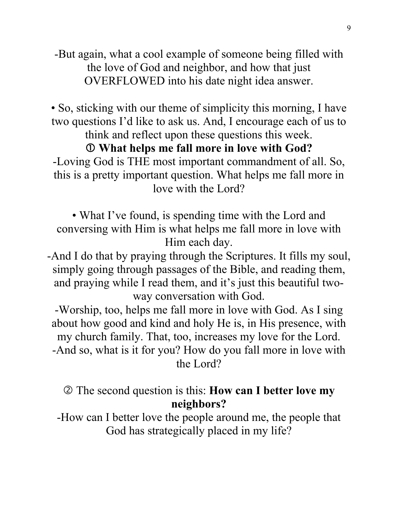-But again, what a cool example of someone being filled with the love of God and neighbor, and how that just OVERFLOWED into his date night idea answer.

• So, sticking with our theme of simplicity this morning, I have two questions I'd like to ask us. And, I encourage each of us to think and reflect upon these questions this week.

## **What helps me fall more in love with God?**

-Loving God is THE most important commandment of all. So, this is a pretty important question. What helps me fall more in love with the Lord?

• What I've found, is spending time with the Lord and conversing with Him is what helps me fall more in love with Him each day.

-And I do that by praying through the Scriptures. It fills my soul, simply going through passages of the Bible, and reading them, and praying while I read them, and it's just this beautiful twoway conversation with God.

-Worship, too, helps me fall more in love with God. As I sing about how good and kind and holy He is, in His presence, with my church family. That, too, increases my love for the Lord. -And so, what is it for you? How do you fall more in love with the Lord?

 The second question is this: **How can I better love my neighbors?** 

-How can I better love the people around me, the people that God has strategically placed in my life?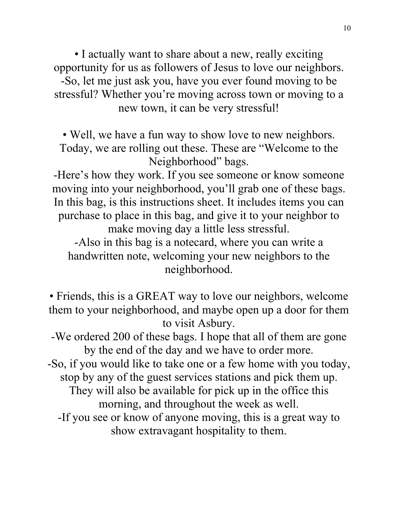• I actually want to share about a new, really exciting opportunity for us as followers of Jesus to love our neighbors. -So, let me just ask you, have you ever found moving to be stressful? Whether you're moving across town or moving to a new town, it can be very stressful!

• Well, we have a fun way to show love to new neighbors. Today, we are rolling out these. These are "Welcome to the Neighborhood" bags.

-Here's how they work. If you see someone or know someone moving into your neighborhood, you'll grab one of these bags. In this bag, is this instructions sheet. It includes items you can purchase to place in this bag, and give it to your neighbor to make moving day a little less stressful.

-Also in this bag is a notecard, where you can write a handwritten note, welcoming your new neighbors to the neighborhood.

• Friends, this is a GREAT way to love our neighbors, welcome them to your neighborhood, and maybe open up a door for them to visit Asbury.

-We ordered 200 of these bags. I hope that all of them are gone by the end of the day and we have to order more.

-So, if you would like to take one or a few home with you today, stop by any of the guest services stations and pick them up.

They will also be available for pick up in the office this morning, and throughout the week as well.

-If you see or know of anyone moving, this is a great way to show extravagant hospitality to them.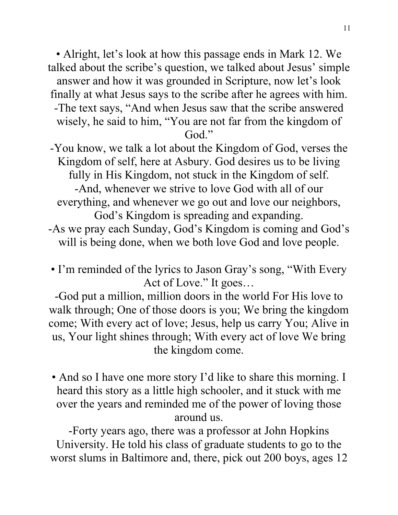• Alright, let's look at how this passage ends in Mark 12. We talked about the scribe's question, we talked about Jesus' simple answer and how it was grounded in Scripture, now let's look finally at what Jesus says to the scribe after he agrees with him. -The text says, "And when Jesus saw that the scribe answered wisely, he said to him, "You are not far from the kingdom of God."

-You know, we talk a lot about the Kingdom of God, verses the Kingdom of self, here at Asbury. God desires us to be living fully in His Kingdom, not stuck in the Kingdom of self.

-And, whenever we strive to love God with all of our everything, and whenever we go out and love our neighbors, God's Kingdom is spreading and expanding.

- -As we pray each Sunday, God's Kingdom is coming and God's will is being done, when we both love God and love people.
- I'm reminded of the lyrics to Jason Gray's song, "With Every Act of Love." It goes…

-God put a million, million doors in the world For His love to walk through; One of those doors is you; We bring the kingdom come; With every act of love; Jesus, help us carry You; Alive in us, Your light shines through; With every act of love We bring the kingdom come.

• And so I have one more story I'd like to share this morning. I heard this story as a little high schooler, and it stuck with me over the years and reminded me of the power of loving those around us.

-Forty years ago, there was a professor at John Hopkins University. He told his class of graduate students to go to the worst slums in Baltimore and, there, pick out 200 boys, ages 12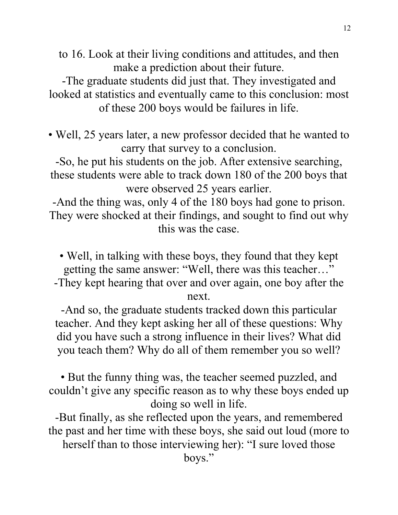to 16. Look at their living conditions and attitudes, and then make a prediction about their future.

-The graduate students did just that. They investigated and looked at statistics and eventually came to this conclusion: most of these 200 boys would be failures in life.

• Well, 25 years later, a new professor decided that he wanted to carry that survey to a conclusion.

-So, he put his students on the job. After extensive searching, these students were able to track down 180 of the 200 boys that were observed 25 years earlier.

-And the thing was, only 4 of the 180 boys had gone to prison. They were shocked at their findings, and sought to find out why this was the case.

• Well, in talking with these boys, they found that they kept getting the same answer: "Well, there was this teacher…" -They kept hearing that over and over again, one boy after the next.

-And so, the graduate students tracked down this particular teacher. And they kept asking her all of these questions: Why did you have such a strong influence in their lives? What did you teach them? Why do all of them remember you so well?

• But the funny thing was, the teacher seemed puzzled, and couldn't give any specific reason as to why these boys ended up doing so well in life.

-But finally, as she reflected upon the years, and remembered the past and her time with these boys, she said out loud (more to herself than to those interviewing her): "I sure loved those boys."